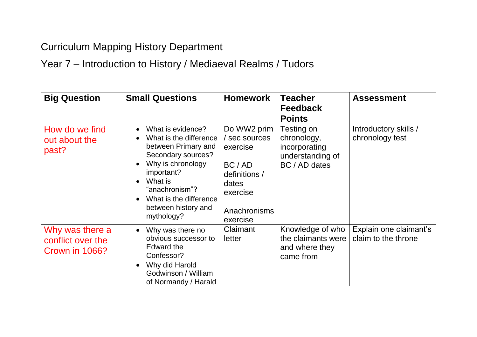## Curriculum Mapping History Department

Year 7 – Introduction to History / Mediaeval Realms / Tudors

| <b>Big Question</b>                                    | <b>Small Questions</b>                                                                                                                                                                                                                                                      | <b>Homework</b>                                                                                                       | <b>Teacher</b><br><b>Feedback</b><br><b>Points</b>                              | <b>Assessment</b>                             |
|--------------------------------------------------------|-----------------------------------------------------------------------------------------------------------------------------------------------------------------------------------------------------------------------------------------------------------------------------|-----------------------------------------------------------------------------------------------------------------------|---------------------------------------------------------------------------------|-----------------------------------------------|
| How do we find<br>out about the<br>past?               | What is evidence?<br>$\bullet$<br>What is the difference<br>$\bullet$<br>between Primary and<br>Secondary sources?<br>Why is chronology<br>important?<br>What is<br>$\bullet$<br>"anachronism"?<br>What is the difference<br>$\bullet$<br>between history and<br>mythology? | Do WW2 prim<br>/ sec sources<br>exercise<br>BC / AD<br>definitions /<br>dates<br>exercise<br>Anachronisms<br>exercise | Testing on<br>chronology,<br>incorporating<br>understanding of<br>BC / AD dates | Introductory skills /<br>chronology test      |
| Why was there a<br>conflict over the<br>Crown in 1066? | Why was there no<br>$\bullet$<br>obvious successor to<br>Edward the<br>Confessor?<br>Why did Harold<br>$\bullet$<br>Godwinson / William<br>of Normandy / Harald                                                                                                             | Claimant<br>letter                                                                                                    | Knowledge of who<br>the claimants were<br>and where they<br>came from           | Explain one claimant's<br>claim to the throne |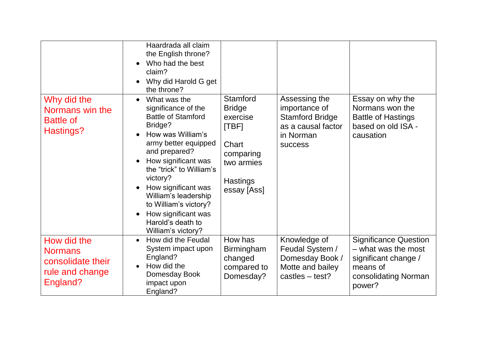|                                                                                   | Haardrada all claim<br>the English throne?<br>Who had the best<br>claim?<br>Why did Harold G get<br>the throne?                                                                                                                                                                                                                                                                           |                                                                                                                             |                                                                                                               |                                                                                                                           |
|-----------------------------------------------------------------------------------|-------------------------------------------------------------------------------------------------------------------------------------------------------------------------------------------------------------------------------------------------------------------------------------------------------------------------------------------------------------------------------------------|-----------------------------------------------------------------------------------------------------------------------------|---------------------------------------------------------------------------------------------------------------|---------------------------------------------------------------------------------------------------------------------------|
| Why did the<br>Normans win the<br><b>Battle of</b><br>Hastings?                   | What was the<br>$\bullet$<br>significance of the<br><b>Battle of Stamford</b><br>Bridge?<br>How was William's<br>$\bullet$<br>army better equipped<br>and prepared?<br>How significant was<br>$\bullet$<br>the "trick" to William's<br>victory?<br>How significant was<br>William's leadership<br>to William's victory?<br>How significant was<br>Harold's death to<br>William's victory? | <b>Stamford</b><br><b>Bridge</b><br>exercise<br>[TBF]<br>Chart<br>comparing<br>two armies<br><b>Hastings</b><br>essay [Ass] | Assessing the<br>importance of<br><b>Stamford Bridge</b><br>as a causal factor<br>in Norman<br><b>SUCCESS</b> | Essay on why the<br>Normans won the<br><b>Battle of Hastings</b><br>based on old ISA -<br>causation                       |
| How did the<br><b>Normans</b><br>consolidate their<br>rule and change<br>England? | How did the Feudal<br>$\bullet$<br>System impact upon<br>England?<br>How did the<br>Domesday Book<br>impact upon<br>England?                                                                                                                                                                                                                                                              | How has<br><b>Birmingham</b><br>changed<br>compared to<br>Domesday?                                                         | Knowledge of<br>Feudal System /<br>Domesday Book /<br>Motte and bailey<br>castles - test?                     | <b>Significance Question</b><br>- what was the most<br>significant change /<br>means of<br>consolidating Norman<br>power? |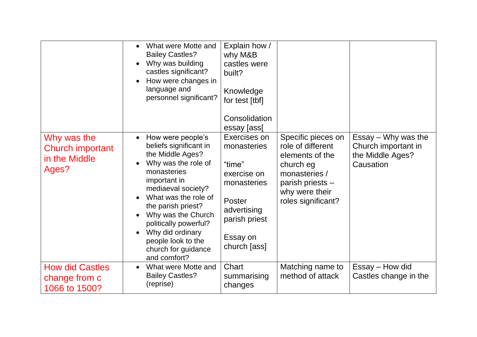|                                                                  | What were Motte and<br><b>Bailey Castles?</b><br>Why was building<br>castles significant?<br>How were changes in<br>language and<br>personnel significant?                                                                                                                                                                             | Explain how /<br>why M&B<br>castles were<br>built?<br>Knowledge<br>for test [tbf]<br>Consolidation<br>essay [ass[                         |                                                                                                                                                      |                                                                             |
|------------------------------------------------------------------|----------------------------------------------------------------------------------------------------------------------------------------------------------------------------------------------------------------------------------------------------------------------------------------------------------------------------------------|-------------------------------------------------------------------------------------------------------------------------------------------|------------------------------------------------------------------------------------------------------------------------------------------------------|-----------------------------------------------------------------------------|
| Why was the<br><b>Church important</b><br>in the Middle<br>Ages? | How were people's<br>$\bullet$<br>beliefs significant in<br>the Middle Ages?<br>Why was the role of<br>monasteries<br>important in<br>mediaeval society?<br>What was the role of<br>the parish priest?<br>Why was the Church<br>politically powerful?<br>Why did ordinary<br>people look to the<br>church for guidance<br>and comfort? | Exercises on<br>monasteries<br>"time"<br>exercise on<br>monasteries<br>Poster<br>advertising<br>parish priest<br>Essay on<br>church [ass] | Specific pieces on<br>role of different<br>elements of the<br>church eg<br>monasteries /<br>parish priests -<br>why were their<br>roles significant? | Essay - Why was the<br>Church important in<br>the Middle Ages?<br>Causation |
| <b>How did Castles</b><br>change from c<br>1066 to 1500?         | What were Motte and<br>$\bullet$<br><b>Bailey Castles?</b><br>(reprise)                                                                                                                                                                                                                                                                | Chart<br>summarising<br>changes                                                                                                           | Matching name to<br>method of attack                                                                                                                 | Essay - How did<br>Castles change in the                                    |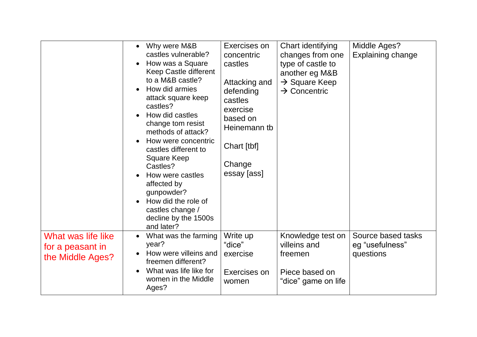|                                                            | Why were M&B<br>castles vulnerable?<br>How was a Square<br>Keep Castle different<br>to a M&B castle?<br>How did armies<br>attack square keep<br>castles?<br>How did castles<br>change tom resist<br>methods of attack?<br>How were concentric<br>castles different to<br><b>Square Keep</b><br>Castles?<br>How were castles<br>affected by<br>gunpowder?<br>How did the role of<br>castles change /<br>decline by the 1500s<br>and later? | Exercises on<br>concentric<br>castles<br>Attacking and<br>defending<br>castles<br>exercise<br>based on<br>Heinemann tb<br>Chart [tbf]<br>Change<br>essay [ass] | Chart identifying<br>changes from one<br>type of castle to<br>another eg M&B<br>$\rightarrow$ Square Keep<br>$\rightarrow$ Concentric | Middle Ages?<br><b>Explaining change</b>           |
|------------------------------------------------------------|-------------------------------------------------------------------------------------------------------------------------------------------------------------------------------------------------------------------------------------------------------------------------------------------------------------------------------------------------------------------------------------------------------------------------------------------|----------------------------------------------------------------------------------------------------------------------------------------------------------------|---------------------------------------------------------------------------------------------------------------------------------------|----------------------------------------------------|
| What was life like<br>for a peasant in<br>the Middle Ages? | What was the farming<br>$\bullet$<br>year?<br>How were villeins and<br>freemen different?<br>What was life like for<br>$\bullet$<br>women in the Middle<br>Ages?                                                                                                                                                                                                                                                                          | Write up<br>"dice"<br>exercise<br>Exercises on<br>women                                                                                                        | Knowledge test on<br>villeins and<br>freemen<br>Piece based on<br>"dice" game on life                                                 | Source based tasks<br>eg "usefulness"<br>questions |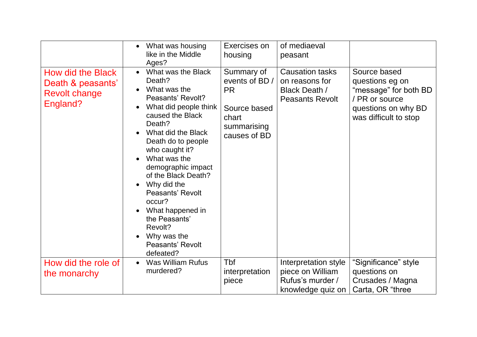|                                                                            | What was housing<br>$\bullet$<br>like in the Middle<br>Ages?                                                                                                                                                                                                                                                                                                                                                                                         | Exercises on<br>housing                                                                          | of mediaeval<br>peasant                                                                    |                                                                                                                            |
|----------------------------------------------------------------------------|------------------------------------------------------------------------------------------------------------------------------------------------------------------------------------------------------------------------------------------------------------------------------------------------------------------------------------------------------------------------------------------------------------------------------------------------------|--------------------------------------------------------------------------------------------------|--------------------------------------------------------------------------------------------|----------------------------------------------------------------------------------------------------------------------------|
| How did the Black<br>Death & peasants'<br><b>Revolt change</b><br>England? | What was the Black<br>$\bullet$<br>Death?<br>What was the<br>$\bullet$<br>Peasants' Revolt?<br>What did people think<br>caused the Black<br>Death?<br>What did the Black<br>Death do to people<br>who caught it?<br>What was the<br>demographic impact<br>of the Black Death?<br>Why did the<br>$\bullet$<br>Peasants' Revolt<br>occur?<br>What happened in<br>$\bullet$<br>the Peasants'<br>Revolt?<br>Why was the<br>Peasants' Revolt<br>defeated? | Summary of<br>events of BD/<br><b>PR</b><br>Source based<br>chart<br>summarising<br>causes of BD | <b>Causation tasks</b><br>on reasons for<br><b>Black Death /</b><br><b>Peasants Revolt</b> | Source based<br>questions eg on<br>"message" for both BD<br>/ PR or source<br>questions on why BD<br>was difficult to stop |
| How did the role of<br>the monarchy                                        | <b>Was William Rufus</b><br>$\bullet$<br>murdered?                                                                                                                                                                                                                                                                                                                                                                                                   | Tbf<br>interpretation<br>piece                                                                   | Interpretation style<br>piece on William<br>Rufus's murder /<br>knowledge quiz on          | "Significance" style<br>questions on<br>Crusades / Magna<br>Carta, OR "three                                               |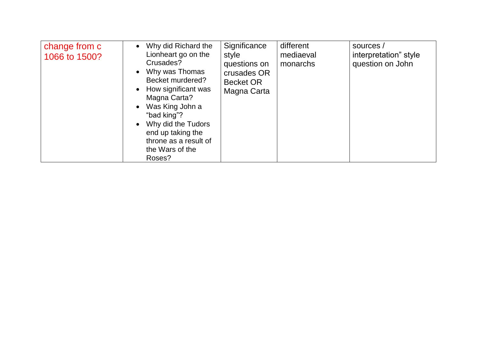| change from c<br>1066 to 1500? | Why did Richard the<br>Lionheart go on the<br>Crusades?<br>Why was Thomas<br>Becket murdered?<br>How significant was<br>Magna Carta?<br>Was King John a<br>"bad king"?<br>Why did the Tudors<br>end up taking the<br>throne as a result of<br>the Wars of the<br>Roses? | Significance<br>style<br>questions on<br>crusades OR<br><b>Becket OR</b><br>Magna Carta | different<br>mediaeval<br>monarchs | sources /<br>interpretation" style<br>question on John |
|--------------------------------|-------------------------------------------------------------------------------------------------------------------------------------------------------------------------------------------------------------------------------------------------------------------------|-----------------------------------------------------------------------------------------|------------------------------------|--------------------------------------------------------|
|--------------------------------|-------------------------------------------------------------------------------------------------------------------------------------------------------------------------------------------------------------------------------------------------------------------------|-----------------------------------------------------------------------------------------|------------------------------------|--------------------------------------------------------|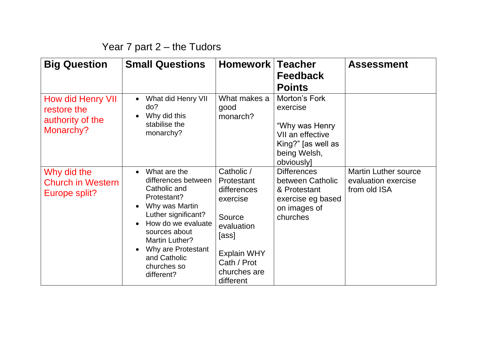Year 7 part 2 – the Tudors

| <b>Big Question</b>                                               | <b>Small Questions</b>                                                                                                                                                                                                                               | Homework                                                                                                                                               | <b>Teacher</b><br><b>Feedback</b><br><b>Points</b>                                                                   | <b>Assessment</b>                                                  |
|-------------------------------------------------------------------|------------------------------------------------------------------------------------------------------------------------------------------------------------------------------------------------------------------------------------------------------|--------------------------------------------------------------------------------------------------------------------------------------------------------|----------------------------------------------------------------------------------------------------------------------|--------------------------------------------------------------------|
| How did Henry VII<br>restore the<br>authority of the<br>Monarchy? | What did Henry VII<br>do?<br>Why did this<br>stabilise the<br>monarchy?                                                                                                                                                                              | What makes a<br>good<br>monarch?                                                                                                                       | Morton's Fork<br>exercise<br>"Why was Henry"<br>VII an effective<br>King?" [as well as<br>being Welsh,<br>obviously] |                                                                    |
| Why did the<br><b>Church in Western</b><br>Europe split?          | What are the<br>$\bullet$<br>differences between<br>Catholic and<br>Protestant?<br>Why was Martin<br>Luther significant?<br>How do we evaluate<br>sources about<br>Martin Luther?<br>Why are Protestant<br>and Catholic<br>churches so<br>different? | Catholic /<br>Protestant<br>differences<br>exercise<br>Source<br>evaluation<br>[ass]<br><b>Explain WHY</b><br>Cath / Prot<br>churches are<br>different | <b>Differences</b><br>between Catholic<br>& Protestant<br>exercise eg based<br>on images of<br>churches              | <b>Martin Luther source</b><br>evaluation exercise<br>from old ISA |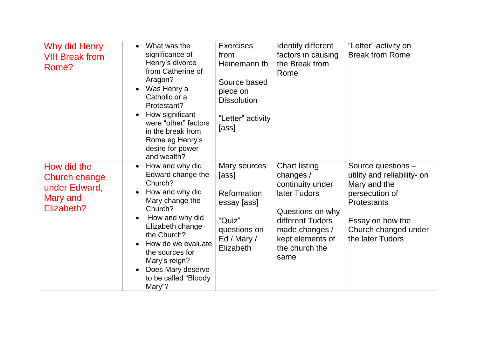| Why did Henry<br><b>VIII Break from</b><br>Rome?                        | What was the<br>significance of<br>Henry's divorce<br>from Catherine of<br>Aragon?<br>Was Henry a<br>Catholic or a<br>Protestant?<br>How significant<br>were "other" factors<br>in the break from<br>Rome eg Henry's<br>desire for power<br>and wealth?                              | <b>Exercises</b><br>from<br>Heinemann tb<br>Source based<br>piece on<br><b>Dissolution</b><br>"Letter" activity<br>[ass] | Identify different<br>factors in causing<br>the Break from<br>Rome                                                                                                            | "Letter" activity on<br><b>Break from Rome</b>                                                                                                                            |
|-------------------------------------------------------------------------|--------------------------------------------------------------------------------------------------------------------------------------------------------------------------------------------------------------------------------------------------------------------------------------|--------------------------------------------------------------------------------------------------------------------------|-------------------------------------------------------------------------------------------------------------------------------------------------------------------------------|---------------------------------------------------------------------------------------------------------------------------------------------------------------------------|
| How did the<br>Church change<br>under Edward,<br>Mary and<br>Elizabeth? | How and why did<br>$\bullet$<br>Edward change the<br>Church?<br>How and why did<br>Mary change the<br>Church?<br>How and why did<br>Elizabeth change<br>the Church?<br>How do we evaluate<br>the sources for<br>Mary's reign?<br>Does Mary deserve<br>to be called "Bloody<br>Mary"? | Mary sources<br>[ass]<br>Reformation<br>essay [ass]<br>"Quiz"<br>questions on<br>Ed / Mary /<br>Elizabeth                | <b>Chart listing</b><br>changes /<br>continuity under<br>later Tudors<br>Questions on why<br>different Tudors<br>made changes /<br>kept elements of<br>the church the<br>same | Source questions -<br>utility and reliability- on<br>Mary and the<br>persecution of<br><b>Protestants</b><br>Essay on how the<br>Church changed under<br>the later Tudors |